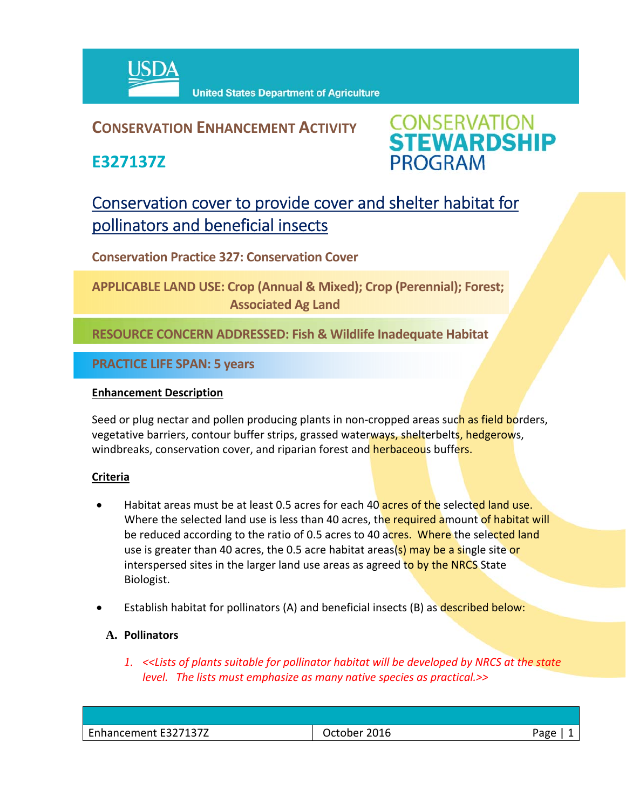

## **CONSERVATION ENHANCEMENT ACTIVITY**

**E327137Z**



# Conservation cover to provide cover and shelter habitat for pollinators and beneficial insects

**Conservation Practice 327: Conservation Cover** 

**APPLICABLE LAND USE: Crop (Annual & Mixed); Crop (Perennial); Forest; Associated Ag Land**

**RESOURCE CONCERN ADDRESSED: Fish & Wildlife Inadequate Habitat**

**PRACTICE LIFE SPAN: 5 years**

### **Enhancement Description**

Seed or plug nectar and pollen producing plants in non-cropped areas such as field borders, vegetative barriers, contour buffer strips, grassed waterways, shelterbelts, hedgerows, windbreaks, conservation cover, and riparian forest and herbaceous buffers.

### **Criteria**

- Habitat areas must be at least 0.5 acres for each 40 acres of the selected land use. Where the selected land use is less than 40 acres, the required amount of habitat will be reduced according to the ratio of 0.5 acres to 40 acres. Where the selected land use is greater than 40 acres, the 0.5 acre habitat areas(s) may be a single site or interspersed sites in the larger land use areas as agreed to by the NRCS State Biologist.
- Establish habitat for pollinators (A) and beneficial insects (B) as described below:

### **A. Pollinators**

*1. <<Lists of plants suitable for pollinator habitat will be developed by NRCS at the state level. The lists must emphasize as many native species as practical.>>*

| 2016<br>Page<br>- |
|-------------------|
|                   |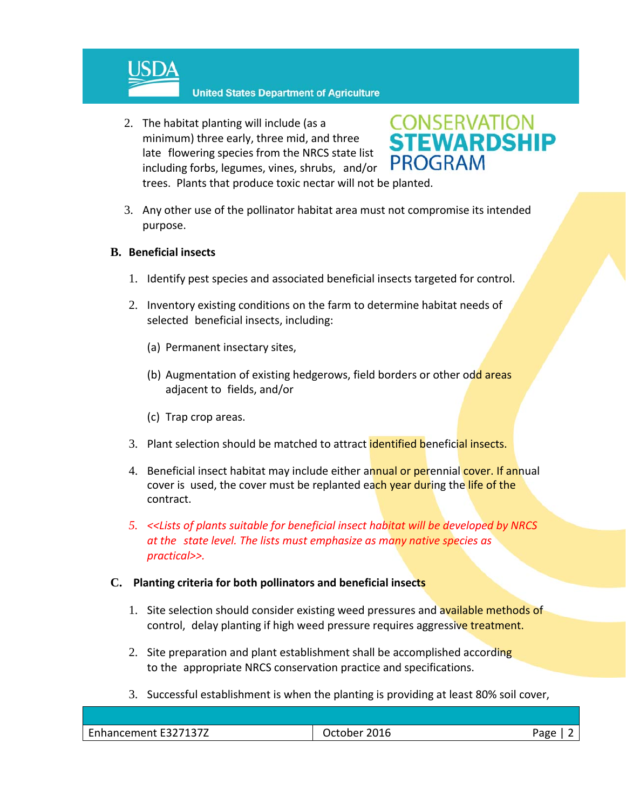

**United States Department of Agriculture** 

2. The habitat planting will include (as a minimum) three early, three mid, and three late flowering species from the NRCS state list including forbs, legumes, vines, shrubs, and/or trees. Plants that produce toxic nectar will not be planted.



3. Any other use of the pollinator habitat area must not compromise its intended purpose.

### **B. Beneficial insects**

- 1. Identify pest species and associated beneficial insects targeted for control.
- 2. Inventory existing conditions on the farm to determine habitat needs of selected beneficial insects, including:
	- (a) Permanent insectary sites,
	- (b) Augmentation of existing hedgerows, field borders or other odd areas adjacent to fields, and/or
	- (c) Trap crop areas.
- 3. Plant selection should be matched to attract **identified beneficial insects.**
- 4. Beneficial insect habitat may include either annual or perennial cover. If annual cover is used, the cover must be replanted each year during the life of the contract.
- *5. <<Lists of plants suitable for beneficial insect habitat will be developed by NRCS at the state level. The lists must emphasize as many native species as practical>>.*

### **C. Planting criteria for both pollinators and beneficial insects**

- 1. Site selection should consider existing weed pressures and available methods of control, delay planting if high weed pressure requires aggressive treatment.
- 2. Site preparation and plant establishment shall be accomplished according to the appropriate NRCS conservation practice and specifications.
- 3. Successful establishment is when the planting is providing at least 80% soil cover,

| <b>CAL</b><br><b>FOOT4077</b><br>hancement :<br>-⊢ ≺<br>-- - - - | --<br>_ulb_<br>____ | חסבי<br>տեր |
|------------------------------------------------------------------|---------------------|-------------|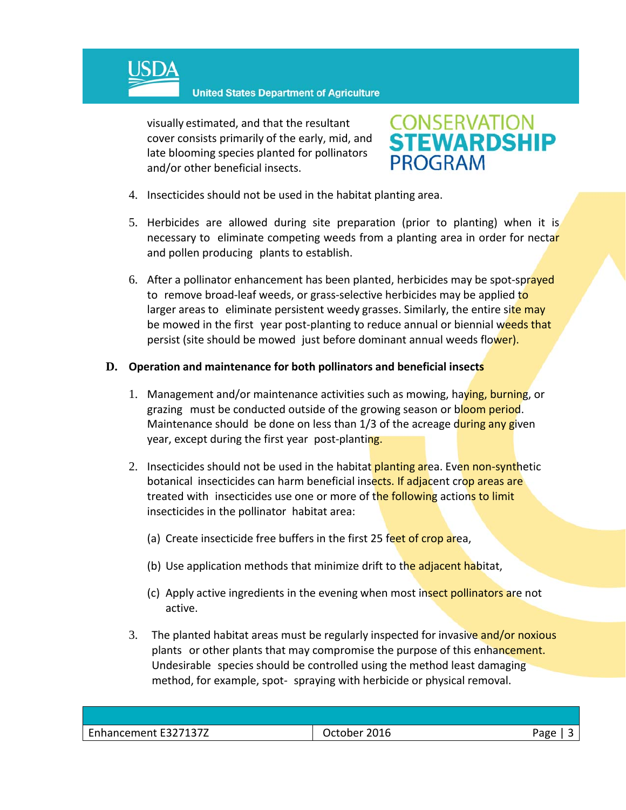

**United States Department of Agriculture** 

visually estimated, and that the resultant cover consists primarily of the early, mid, and late blooming species planted for pollinators and/or other beneficial insects.



- 4. Insecticides should not be used in the habitat planting area.
- 5. Herbicides are allowed during site preparation (prior to planting) when it is necessary to eliminate competing weeds from a planting area in order for nectar and pollen producing plants to establish.
- 6. After a pollinator enhancement has been planted, herbicides may be spot-sprayed to remove broad-leaf weeds, or grass-selective herbicides may be applied to larger areas to eliminate persistent weedy grasses. Similarly, the entire site may be mowed in the first year post-planting to reduce annual or biennial weeds that persist (site should be mowed just before dominant annual weeds flower).

#### **D. Operation and maintenance for both pollinators and beneficial insects**

- 1. Management and/or maintenance activities such as mowing, haying, burning, or grazing must be conducted outside of the growing season or bloom period. Maintenance should be done on less than 1/3 of the acreage during any given year, except during the first year post-planting.
- 2. Insecticides should not be used in the habitat planting area. Even non-synthetic botanical insecticides can harm beneficial insects. If adjacent crop areas are treated with insecticides use one or more of the following actions to limit insecticides in the pollinator habitat area:
	- (a) Create insecticide free buffers in the first 25 feet of crop area,
	- (b) Use application methods that minimize drift to the adjacent habitat,
	- (c) Apply active ingredients in the evening when most insect pollinators are not active.
- 3. The planted habitat areas must be regularly inspected for invasive and/or noxious plants or other plants that may compromise the purpose of this enhancement. Undesirable species should be controlled using the method least damaging method, for example, spot‐ spraying with herbicide or physical removal.

| Enhancement E327137Z | 2016<br>October | Page |
|----------------------|-----------------|------|